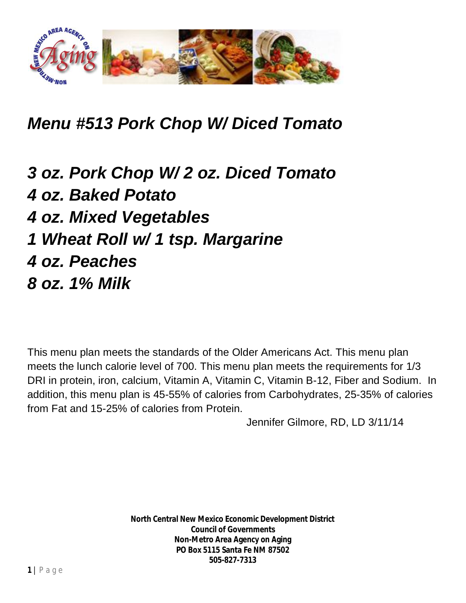

## *Menu #513 Pork Chop W/ Diced Tomato*

*3 oz. Pork Chop W/ 2 oz. Diced Tomato 4 oz. Baked Potato 4 oz. Mixed Vegetables 1 Wheat Roll w/ 1 tsp. Margarine 4 oz. Peaches 8 oz. 1% Milk*

This menu plan meets the standards of the Older Americans Act. This menu plan meets the lunch calorie level of 700. This menu plan meets the requirements for 1/3 DRI in protein, iron, calcium, Vitamin A, Vitamin C, Vitamin B-12, Fiber and Sodium. In addition, this menu plan is 45-55% of calories from Carbohydrates, 25-35% of calories from Fat and 15-25% of calories from Protein.

Jennifer Gilmore, RD, LD 3/11/14

**North Central New Mexico Economic Development District Council of Governments Non-Metro Area Agency on Aging PO Box 5115 Santa Fe NM 87502 505-827-7313**